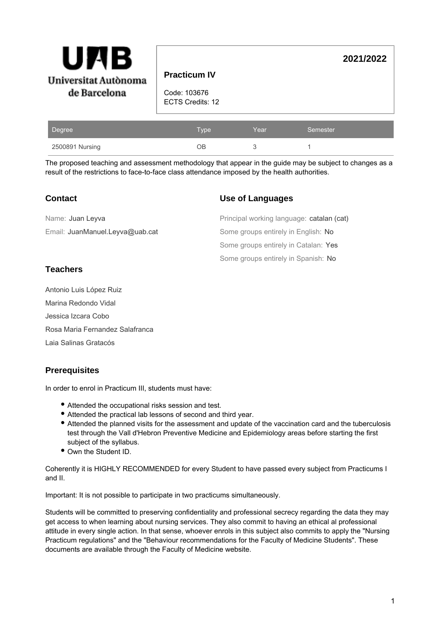| Ъ<br>Ul<br>Universitat Autònoma | <b>Practicum IV</b>              |      |          | 2021/2022 |
|---------------------------------|----------------------------------|------|----------|-----------|
| de Barcelona                    | Code: 103676<br>ECTS Credits: 12 |      |          |           |
| <u>ID</u> egree                 | Type                             | Year | Semester |           |

| .                                                                                                        |  |  |
|----------------------------------------------------------------------------------------------------------|--|--|
| The proposed teaching and assessment methodology that appear in the guide may be subject to changes as a |  |  |
| result of the restrictions to face-to-face class attendance imposed by the health authorities.           |  |  |

# **Use of Languages**

| Name: Juan Leyva                | Principal working language: catalan (cat) |
|---------------------------------|-------------------------------------------|
|                                 |                                           |
| Email: JuanManuel.Leyva@uab.cat | Some groups entirely in English: No       |
|                                 | Some groups entirely in Catalan: Yes      |
|                                 | Some groups entirely in Spanish: No       |

2500891 Nursing OB 3 1

# **Teachers**

Antonio Luis López Ruiz Marina Redondo Vidal Jessica Izcara Cobo Rosa Maria Fernandez Salafranca Laia Salinas Gratacós

# **Prerequisites**

In order to enrol in Practicum III, students must have:

- Attended the occupational risks session and test.
- Attended the practical lab lessons of second and third year.
- Attended the planned visits for the assessment and update of the vaccination card and the tuberculosis test through the Vall d'Hebron Preventive Medicine and Epidemiology areas before starting the first subject of the syllabus.
- Own the Student ID.

Coherently it is HIGHLY RECOMMENDED for every Student to have passed every subject from Practicums I and II.

Important: It is not possible to participate in two practicums simultaneously.

Students will be committed to preserving confidentiality and professional secrecy regarding the data they may get access to when learning about nursing services. They also commit to having an ethical al professional attitude in every single action. In that sense, whoever enrols in this subject also commits to apply the "Nursing Practicum regulations" and the "Behaviour recommendations for the Faculty of Medicine Students". These documents are available through the Faculty of Medicine website.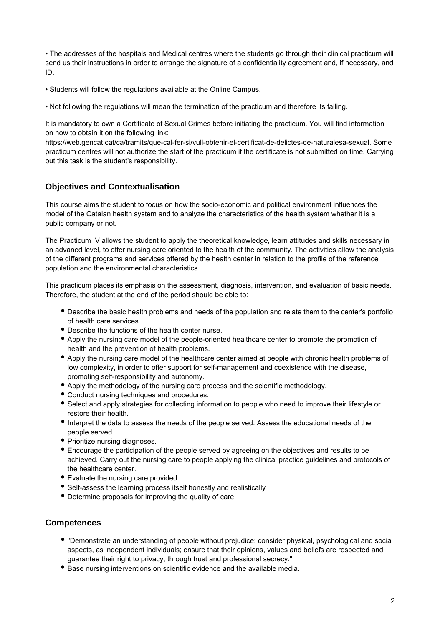• The addresses of the hospitals and Medical centres where the students go through their clinical practicum will send us their instructions in order to arrange the signature of a confidentiality agreement and, if necessary, and ID.

• Students will follow the regulations available at the Online Campus.

• Not following the regulations will mean the termination of the practicum and therefore its failing.

It is mandatory to own a Certificate of Sexual Crimes before initiating the practicum. You will find information on how to obtain it on the following link:

https://web.gencat.cat/ca/tramits/que-cal-fer-si/vull-obtenir-el-certificat-de-delictes-de-naturalesa-sexual. Some practicum centres will not authorize the start of the practicum if the certificate is not submitted on time. Carrying out this task is the student's responsibility.

# **Objectives and Contextualisation**

This course aims the student to focus on how the socio-economic and political environment influences the model of the Catalan health system and to analyze the characteristics of the health system whether it is a public company or not.

The Practicum IV allows the student to apply the theoretical knowledge, learn attitudes and skills necessary in an advaned level, to offer nursing care oriented to the health of the community. The activities allow the analysis of the different programs and services offered by the health center in relation to the profile of the reference population and the environmental characteristics.

This practicum places its emphasis on the assessment, diagnosis, intervention, and evaluation of basic needs. Therefore, the student at the end of the period should be able to:

- Describe the basic health problems and needs of the population and relate them to the center's portfolio of health care services.
- Describe the functions of the health center nurse.
- Apply the nursing care model of the people-oriented healthcare center to promote the promotion of health and the prevention of health problems.
- Apply the nursing care model of the healthcare center aimed at people with chronic health problems of low complexity, in order to offer support for self-management and coexistence with the disease, promoting self-responsibility and autonomy.
- Apply the methodology of the nursing care process and the scientific methodology.
- Conduct nursing techniques and procedures.
- Select and apply strategies for collecting information to people who need to improve their lifestyle or restore their health.
- Interpret the data to assess the needs of the people served. Assess the educational needs of the people served.
- Prioritize nursing diagnoses.
- Encourage the participation of the people served by agreeing on the objectives and results to be achieved. Carry out the nursing care to people applying the clinical practice guidelines and protocols of the healthcare center.
- Evaluate the nursing care provided
- Self-assess the learning process itself honestly and realistically
- Determine proposals for improving the quality of care.

### **Competences**

- "Demonstrate an understanding of people without prejudice: consider physical, psychological and social aspects, as independent individuals; ensure that their opinions, values and beliefs are respected and guarantee their right to privacy, through trust and professional secrecy."
- Base nursing interventions on scientific evidence and the available media.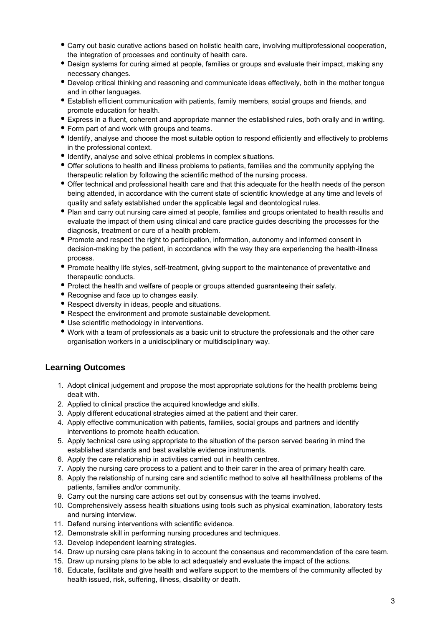- Carry out basic curative actions based on holistic health care, involving multiprofessional cooperation, the integration of processes and continuity of health care.
- Design systems for curing aimed at people, families or groups and evaluate their impact, making any necessary changes.
- Develop critical thinking and reasoning and communicate ideas effectively, both in the mother tongue and in other languages.
- Establish efficient communication with patients, family members, social groups and friends, and promote education for health.
- Express in a fluent, coherent and appropriate manner the established rules, both orally and in writing.
- Form part of and work with groups and teams.
- Identify, analyse and choose the most suitable option to respond efficiently and effectively to problems in the professional context.
- Identify, analyse and solve ethical problems in complex situations.
- Offer solutions to health and illness problems to patients, families and the community applying the therapeutic relation by following the scientific method of the nursing process.
- Offer technical and professional health care and that this adequate for the health needs of the person being attended, in accordance with the current state of scientific knowledge at any time and levels of quality and safety established under the applicable legal and deontological rules.
- Plan and carry out nursing care aimed at people, families and groups orientated to health results and evaluate the impact of them using clinical and care practice guides describing the processes for the diagnosis, treatment or cure of a health problem.
- Promote and respect the right to participation, information, autonomy and informed consent in decision-making by the patient, in accordance with the way they are experiencing the health-illness process.
- Promote healthy life styles, self-treatment, giving support to the maintenance of preventative and therapeutic conducts.
- Protect the health and welfare of people or groups attended guaranteeing their safety.
- Recognise and face up to changes easily.
- Respect diversity in ideas, people and situations.
- Respect the environment and promote sustainable development.
- Use scientific methodology in interventions.
- Work with a team of professionals as a basic unit to structure the professionals and the other care organisation workers in a unidisciplinary or multidisciplinary way.

# **Learning Outcomes**

- 1. Adopt clinical judgement and propose the most appropriate solutions for the health problems being dealt with.
- 2. Applied to clinical practice the acquired knowledge and skills.
- 3. Apply different educational strategies aimed at the patient and their carer.
- 4. Apply effective communication with patients, families, social groups and partners and identify interventions to promote health education.
- 5. Apply technical care using appropriate to the situation of the person served bearing in mind the established standards and best available evidence instruments.
- 6. Apply the care relationship in activities carried out in health centres.
- 7. Apply the nursing care process to a patient and to their carer in the area of primary health care.
- 8. Apply the relationship of nursing care and scientific method to solve all health/illness problems of the patients, families and/or community.
- 9. Carry out the nursing care actions set out by consensus with the teams involved.
- 10. Comprehensively assess health situations using tools such as physical examination, laboratory tests and nursing interview.
- 11. Defend nursing interventions with scientific evidence.
- 12. Demonstrate skill in performing nursing procedures and techniques.
- 13. Develop independent learning strategies.
- 14. Draw up nursing care plans taking in to account the consensus and recommendation of the care team.
- 15. Draw up nursing plans to be able to act adequately and evaluate the impact of the actions.
- 16. Educate, facilitate and give health and welfare support to the members of the community affected by health issued, risk, suffering, illness, disability or death.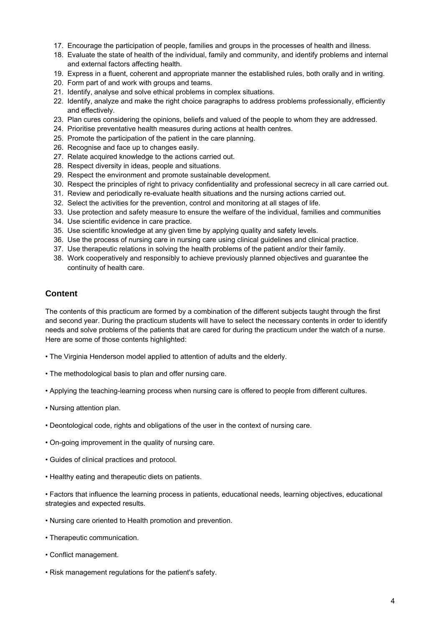- 17. Encourage the participation of people, families and groups in the processes of health and illness.
- 18. Evaluate the state of health of the individual, family and community, and identify problems and internal and external factors affecting health.
- 19. Express in a fluent, coherent and appropriate manner the established rules, both orally and in writing.
- 20. Form part of and work with groups and teams.
- 21. Identify, analyse and solve ethical problems in complex situations.
- 22. Identify, analyze and make the right choice paragraphs to address problems professionally, efficiently and effectively.
- 23. Plan cures considering the opinions, beliefs and valued of the people to whom they are addressed.
- 24. Prioritise preventative health measures during actions at health centres.
- 25. Promote the participation of the patient in the care planning.
- 26. Recognise and face up to changes easily.
- 27. Relate acquired knowledge to the actions carried out.
- 28. Respect diversity in ideas, people and situations.
- 29. Respect the environment and promote sustainable development.
- 30. Respect the principles of right to privacy confidentiality and professional secrecy in all care carried out.
- 31. Review and periodically re-evaluate health situations and the nursing actions carried out.
- 32. Select the activities for the prevention, control and monitoring at all stages of life.
- 33. Use protection and safety measure to ensure the welfare of the individual, families and communities
- 34. Use scientific evidence in care practice.
- 35. Use scientific knowledge at any given time by applying quality and safety levels.
- 36. Use the process of nursing care in nursing care using clinical guidelines and clinical practice.
- 37. Use therapeutic relations in solving the health problems of the patient and/or their family.
- 38. Work cooperatively and responsibly to achieve previously planned objectives and guarantee the continuity of health care.

## **Content**

The contents of this practicum are formed by a combination of the different subjects taught through the first and second year. During the practicum students will have to select the necessary contents in order to identify needs and solve problems of the patients that are cared for during the practicum under the watch of a nurse. Here are some of those contents highlighted:

- The Virginia Henderson model applied to attention of adults and the elderly.
- The methodological basis to plan and offer nursing care.
- Applying the teaching-learning process when nursing care is offered to people from different cultures.
- Nursing attention plan.
- Deontological code, rights and obligations of the user in the context of nursing care.
- On-going improvement in the quality of nursing care.
- Guides of clinical practices and protocol.
- Healthy eating and therapeutic diets on patients.

• Factors that influence the learning process in patients, educational needs, learning objectives, educational strategies and expected results.

- Nursing care oriented to Health promotion and prevention.
- Therapeutic communication.
- Conflict management.
- Risk management regulations for the patient's safety.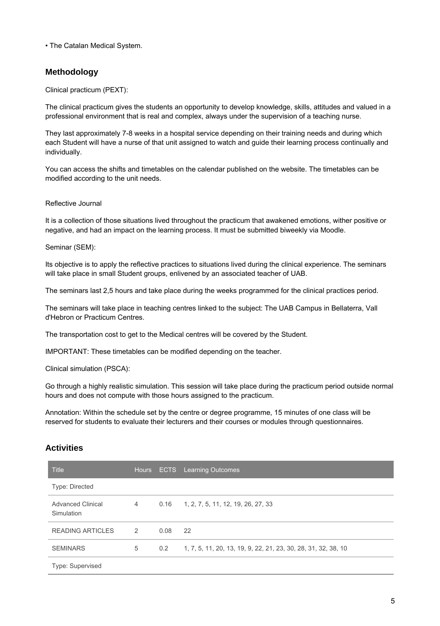• The Catalan Medical System.

## **Methodology**

Clinical practicum (PEXT):

The clinical practicum gives the students an opportunity to develop knowledge, skills, attitudes and valued in a professional environment that is real and complex, always under the supervision of a teaching nurse.

They last approximately 7-8 weeks in a hospital service depending on their training needs and during which each Student will have a nurse of that unit assigned to watch and guide their learning process continually and individually.

You can access the shifts and timetables on the calendar published on the website. The timetables can be modified according to the unit needs.

Reflective Journal

It is a collection of those situations lived throughout the practicum that awakened emotions, wither positive or negative, and had an impact on the learning process. It must be submitted biweekly via Moodle.

Seminar (SEM):

Its objective is to apply the reflective practices to situations lived during the clinical experience. The seminars will take place in small Student groups, enlivened by an associated teacher of UAB.

The seminars last 2,5 hours and take place during the weeks programmed for the clinical practices period.

The seminars will take place in teaching centres linked to the subject: The UAB Campus in Bellaterra, Vall d'Hebron or Practicum Centres.

The transportation cost to get to the Medical centres will be covered by the Student.

IMPORTANT: These timetables can be modified depending on the teacher.

Clinical simulation (PSCA):

Go through a highly realistic simulation. This session will take place during the practicum period outside normal hours and does not compute with those hours assigned to the practicum.

Annotation: Within the schedule set by the centre or degree programme, 15 minutes of one class will be reserved for students to evaluate their lecturers and their courses or modules through questionnaires.

### **Activities**

| <b>Title</b>                           | Hours          |      | <b>ECTS</b> Learning Outcomes                                  |
|----------------------------------------|----------------|------|----------------------------------------------------------------|
| <b>Type: Directed</b>                  |                |      |                                                                |
| <b>Advanced Clinical</b><br>Simulation | $\overline{4}$ |      | $0.16$ 1, 2, 7, 5, 11, 12, 19, 26, 27, 33                      |
| <b>READING ARTICLES</b>                | $\mathcal{P}$  | 0.08 | 22                                                             |
| <b>SEMINARS</b>                        | 5              | 0.2  | 1, 7, 5, 11, 20, 13, 19, 9, 22, 21, 23, 30, 28, 31, 32, 38, 10 |
| Type: Supervised                       |                |      |                                                                |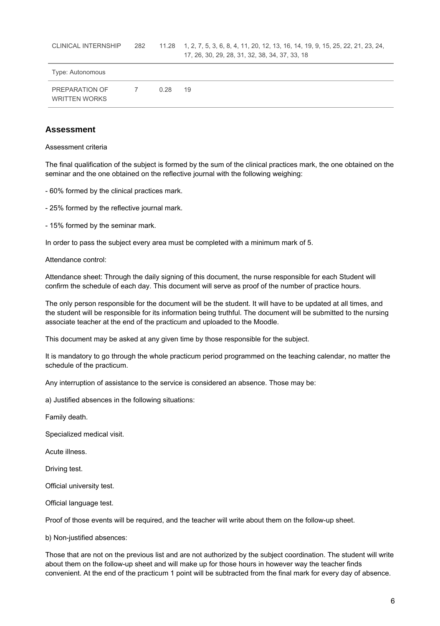| Type: Autonomous                              |            |      |    |
|-----------------------------------------------|------------|------|----|
| <b>PREPARATION OF</b><br><b>WRITTEN WORKS</b> | $\epsilon$ | 0.28 | 19 |

#### **Assessment**

#### Assessment criteria

The final qualification of the subject is formed by the sum of the clinical practices mark, the one obtained on the seminar and the one obtained on the reflective journal with the following weighing:

- 60% formed by the clinical practices mark.

- 25% formed by the reflective journal mark.

- 15% formed by the seminar mark.

In order to pass the subject every area must be completed with a minimum mark of 5.

Attendance control:

Attendance sheet: Through the daily signing of this document, the nurse responsible for each Student will confirm the schedule of each day. This document will serve as proof of the number of practice hours.

The only person responsible for the document will be the student. It will have to be updated at all times, and the student will be responsible for its information being truthful. The document will be submitted to the nursing associate teacher at the end of the practicum and uploaded to the Moodle.

This document may be asked at any given time by those responsible for the subject.

It is mandatory to go through the whole practicum period programmed on the teaching calendar, no matter the schedule of the practicum.

Any interruption of assistance to the service is considered an absence. Those may be:

a) Justified absences in the following situations:

Family death.

Specialized medical visit.

Acute illness.

Driving test.

Official university test.

Official language test.

Proof of those events will be required, and the teacher will write about them on the follow-up sheet.

b) Non-justified absences:

Those that are not on the previous list and are not authorized by the subject coordination. The student will write about them on the follow-up sheet and will make up for those hours in however way the teacher finds convenient. At the end of the practicum 1 point will be subtracted from the final mark for every day of absence.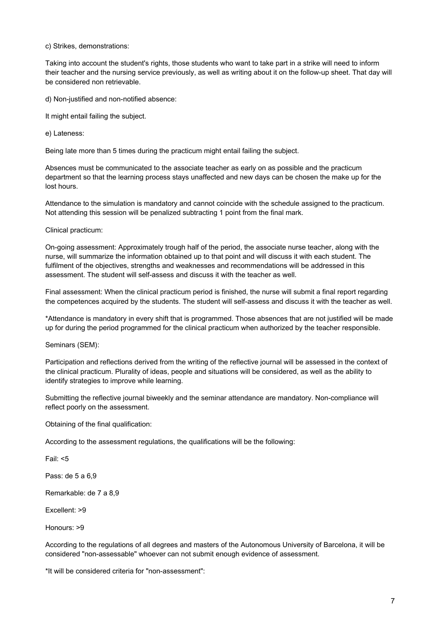#### c) Strikes, demonstrations:

Taking into account the student's rights, those students who want to take part in a strike will need to inform their teacher and the nursing service previously, as well as writing about it on the follow-up sheet. That day will be considered non retrievable.

d) Non-justified and non-notified absence:

It might entail failing the subject.

e) Lateness:

Being late more than 5 times during the practicum might entail failing the subject.

Absences must be communicated to the associate teacher as early on as possible and the practicum department so that the learning process stays unaffected and new days can be chosen the make up for the lost hours.

Attendance to the simulation is mandatory and cannot coincide with the schedule assigned to the practicum. Not attending this session will be penalized subtracting 1 point from the final mark.

Clinical practicum:

On-going assessment: Approximately trough half of the period, the associate nurse teacher, along with the nurse, will summarize the information obtained up to that point and will discuss it with each student. The fulfilment of the objectives, strengths and weaknesses and recommendations will be addressed in this assessment. The student will self-assess and discuss it with the teacher as well.

Final assessment: When the clinical practicum period is finished, the nurse will submit a final report regarding the competences acquired by the students. The student will self-assess and discuss it with the teacher as well.

\*Attendance is mandatory in every shift that is programmed. Those absences that are not justified will be made up for during the period programmed for the clinical practicum when authorized by the teacher responsible.

Seminars (SEM):

Participation and reflections derived from the writing of the reflective journal will be assessed in the context of the clinical practicum. Plurality of ideas, people and situations will be considered, as well as the ability to identify strategies to improve while learning.

Submitting the reflective journal biweekly and the seminar attendance are mandatory. Non-compliance will reflect poorly on the assessment.

Obtaining of the final qualification:

According to the assessment regulations, the qualifications will be the following:

Fail: <5

Pass: de 5 a 6,9

Remarkable: de 7 a 8,9

Excellent: >9

Honours: >9

According to the regulations of all degrees and masters of the Autonomous University of Barcelona, it will be considered "non-assessable" whoever can not submit enough evidence of assessment.

\*It will be considered criteria for "non-assessment":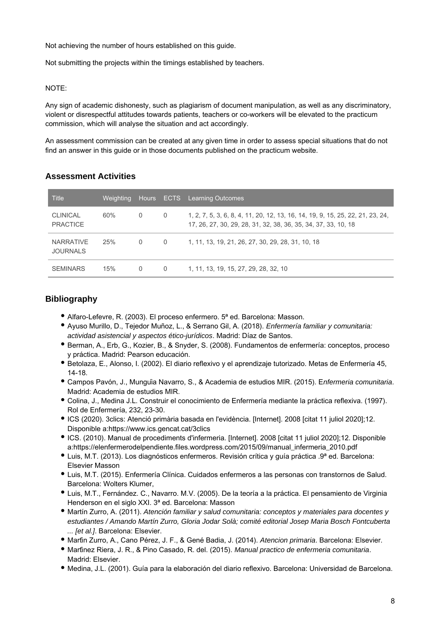Not achieving the number of hours established on this guide.

Not submitting the projects within the timings established by teachers.

#### NOTE:

Any sign of academic dishonesty, such as plagiarism of document manipulation, as well as any discriminatory, violent or disrespectful attitudes towards patients, teachers or co-workers will be elevated to the practicum commission, which will analyse the situation and act accordingly.

An assessment commission can be created at any given time in order to assess special situations that do not find an answer in this guide or in those documents published on the practicum website.

#### **Assessment Activities**

| <b>Title</b>                        | lWeighting, | Hours    |          | <b>ECTS</b> Learning Outcomes                                                                                                                    |
|-------------------------------------|-------------|----------|----------|--------------------------------------------------------------------------------------------------------------------------------------------------|
| <b>CLINICAL</b><br><b>PRACTICE</b>  | 60%         | 0        | $\Omega$ | 1, 2, 7, 5, 3, 6, 8, 4, 11, 20, 12, 13, 16, 14, 19, 9, 15, 25, 22, 21, 23, 24,<br>17, 26, 27, 30, 29, 28, 31, 32, 38, 36, 35, 34, 37, 33, 10, 18 |
| <b>NARRATIVE</b><br><b>JOURNALS</b> | 25%         | $\Omega$ | $\Omega$ | 1, 11, 13, 19, 21, 26, 27, 30, 29, 28, 31, 10, 18                                                                                                |
| <b>SEMINARS</b>                     | 15%         | 0        | 0        | 1, 11, 13, 19, 15, 27, 29, 28, 32, 10                                                                                                            |

### **Bibliography**

- Alfaro-Lefevre, R. (2003). El proceso enfermero. 5ª ed. Barcelona: Masson.
- Ayuso Murillo, D., Tejedor Muñoz, L., & Serrano Gil, A. (2018). Enfermería familiar y comunitaria: actividad asistencial y aspectos ético-jurídicos. Madrid: Díaz de Santos.
- Berman, A., Erb, G., Kozier, B., & Snyder, S. (2008). Fundamentos de enfermería: conceptos, proceso y práctica. Madrid: Pearson educación.
- Betolaza, E., Alonso, I. (2002). El diario reflexivo y el aprendizaje tutorizado. Metas de Enfermería 45, 14-18.
- Campos Pavón, J., Munguía Navarro, S., & Academia de estudios MIR. (2015). Enfermeria comunitaria. Madrid: Academia de estudios MIR.
- Colina, J., Medina J.L. Construir el conocimiento de Enfermería mediante la práctica reflexiva. (1997). Rol de Enfermería, 232, 23-30.
- ICS (2020). 3clics: Atenció primària basada en l'evidència. [Internet]. 2008 [citat 11 juliol 2020];12. Disponible a:https://www.ics.gencat.cat/3clics
- ICS. (2010). Manual de procediments d'infermeria. [Internet]. 2008 [citat 11 juliol 2020];12. Disponible a:https://elenfermerodelpendiente.files.wordpress.com/2015/09/manual\_infermeria\_2010.pdf
- Luis, M.T. (2013). Los diagnósticos enfermeros. Revisión crítica y guía práctica .9ª ed. Barcelona: Elsevier Masson
- Luis, M.T. (2015). Enfermería Clínica. Cuidados enfermeros a las personas con transtornos de Salud. Barcelona: Wolters Klumer,
- Luis, M.T., Fernández. C., Navarro. M.V. (2005). De la teoría a la práctica. El pensamiento de Virginia Henderson en el siglo XXI. 3ª ed. Barcelona: Masson
- Martín Zurro, A. (2011). Atención familiar y salud comunitaria: conceptos y materiales para docentes y estudiantes / Amando Martín Zurro, Gloria Jodar Solà; comité editorial Josep Maria Bosch Fontcuberta ... [et al.]. Barcelona: Elsevier.
- Martín Zurro, A., Cano Pérez, J. F., & Gené Badia, J. (2014). Atencion primaria. Barcelona: Elsevier.
- Martínez Riera, J. R., & Pino Casado, R. del. (2015). Manual practico de enfermeria comunitaria. Madrid: Elsevier.
- Medina, J.L. (2001). Guía para la elaboración del diario reflexivo. Barcelona: Universidad de Barcelona.